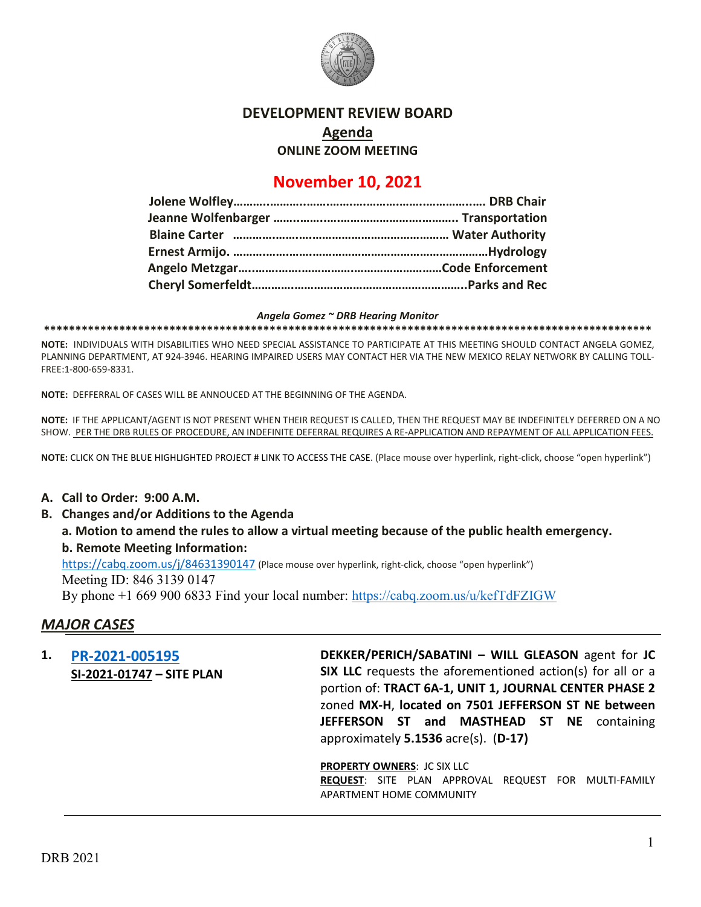

### **DEVELOPMENT REVIEW BOARD**

**Agenda**

**ONLINE ZOOM MEETING**

# **November 10, 2021**

#### *Angela Gomez ~ DRB Hearing Monitor*

**\*\*\*\*\*\*\*\*\*\*\*\*\*\*\*\*\*\*\*\*\*\*\*\*\*\*\*\*\*\*\*\*\*\*\*\*\*\*\*\*\*\*\*\*\*\*\*\*\*\*\*\*\*\*\*\*\*\*\*\*\*\*\*\*\*\*\*\*\*\*\*\*\*\*\*\*\*\*\*\*\*\*\*\*\*\*\*\*\*\*\*\*\*\*\*\*\***

**NOTE:** INDIVIDUALS WITH DISABILITIES WHO NEED SPECIAL ASSISTANCE TO PARTICIPATE AT THIS MEETING SHOULD CONTACT ANGELA GOMEZ, PLANNING DEPARTMENT, AT 924-3946. HEARING IMPAIRED USERS MAY CONTACT HER VIA THE NEW MEXICO RELAY NETWORK BY CALLING TOLL-FREE:1-800-659-8331.

**NOTE:** DEFFERRAL OF CASES WILL BE ANNOUCED AT THE BEGINNING OF THE AGENDA.

**NOTE:** IF THE APPLICANT/AGENT IS NOT PRESENT WHEN THEIR REQUEST IS CALLED, THEN THE REQUEST MAY BE INDEFINITELY DEFERRED ON A NO SHOW. PER THE DRB RULES OF PROCEDURE, AN INDEFINITE DEFERRAL REQUIRES A RE-APPLICATION AND REPAYMENT OF ALL APPLICATION FEES.

**NOTE:** CLICK ON THE BLUE HIGHLIGHTED PROJECT # LINK TO ACCESS THE CASE. (Place mouse over hyperlink, right-click, choose "open hyperlink")

#### **A. Call to Order: 9:00 A.M.**

- **B. Changes and/or Additions to the Agenda**
	- **a. Motion to amend the rules to allow a virtual meeting because of the public health emergency. b. Remote Meeting Information:**

<https://cabq.zoom.us/j/84631390147> (Place mouse over hyperlink, right-click, choose "open hyperlink") Meeting ID: 846 3139 0147

By phone +1 669 900 6833 Find your local number:<https://cabq.zoom.us/u/kefTdFZIGW>

### *MAJOR CASES*

**1. [PR-2021-005195](file://dmdview/DRB/PR-2021-005195/DRB%20Submittals/PR-2021-005195_Nov_10_2021/Application/Site%20Plan%20DRB_7501_Jefferson_St_Dekker_Perich_Sabatini_10.19.2021.pdf) SI-2021-01747 – SITE PLAN** **DEKKER/PERICH/SABATINI – WILL GLEASON** agent for **JC SIX LLC** requests the aforementioned action(s) for all or a portion of: **TRACT 6A-1, UNIT 1, JOURNAL CENTER PHASE 2** zoned **MX-H**, **located on 7501 JEFFERSON ST NE between JEFFERSON ST and MASTHEAD ST NE** containing approximately **5.1536** acre(s). (**D-17)**

**PROPERTY OWNERS**: JC SIX LLC

**REQUEST**: SITE PLAN APPROVAL REQUEST FOR MULTI-FAMILY APARTMENT HOME COMMUNITY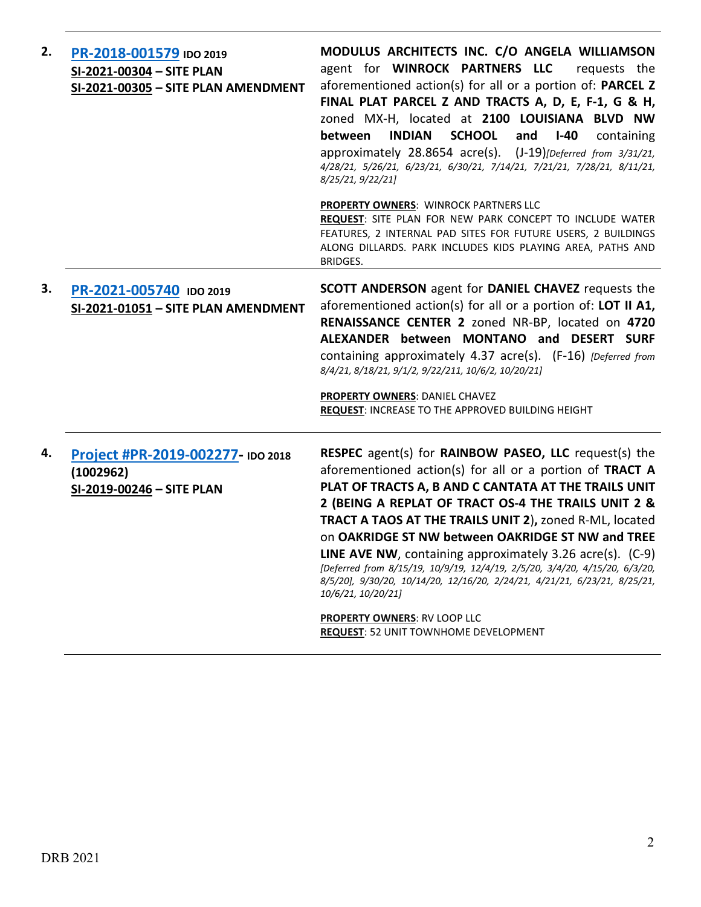| 2. | PR-2018-001579 IDO 2019<br>SI-2021-00304 - SITE PLAN<br>SI-2021-00305 - SITE PLAN AMENDMENT | MODULUS ARCHITECTS INC. C/O ANGELA WILLIAMSON<br>agent for WINROCK PARTNERS LLC<br>requests the<br>aforementioned action(s) for all or a portion of: PARCEL Z<br>FINAL PLAT PARCEL Z AND TRACTS A, D, E, F-1, G & H,<br>zoned MX-H, located at 2100 LOUISIANA BLVD NW<br><b>SCHOOL</b><br><b>INDIAN</b><br>and<br>$I-40$<br>between<br>containing<br>approximately 28.8654 acre(s). (J-19)[Deferred from 3/31/21,<br>4/28/21, 5/26/21, 6/23/21, 6/30/21, 7/14/21, 7/21/21, 7/28/21, 8/11/21,<br>8/25/21, 9/22/21]                                                                                                                                                                                                |
|----|---------------------------------------------------------------------------------------------|------------------------------------------------------------------------------------------------------------------------------------------------------------------------------------------------------------------------------------------------------------------------------------------------------------------------------------------------------------------------------------------------------------------------------------------------------------------------------------------------------------------------------------------------------------------------------------------------------------------------------------------------------------------------------------------------------------------|
|    |                                                                                             | <b>PROPERTY OWNERS: WINROCK PARTNERS LLC</b><br>REQUEST: SITE PLAN FOR NEW PARK CONCEPT TO INCLUDE WATER<br>FEATURES, 2 INTERNAL PAD SITES FOR FUTURE USERS, 2 BUILDINGS<br>ALONG DILLARDS. PARK INCLUDES KIDS PLAYING AREA, PATHS AND<br>BRIDGES.                                                                                                                                                                                                                                                                                                                                                                                                                                                               |
| 3. | PR-2021-005740 IDO 2019<br>SI-2021-01051 - SITE PLAN AMENDMENT                              | SCOTT ANDERSON agent for DANIEL CHAVEZ requests the<br>aforementioned action(s) for all or a portion of: LOT II A1,<br>RENAISSANCE CENTER 2 zoned NR-BP, located on 4720<br>ALEXANDER between MONTANO and DESERT SURF<br>containing approximately 4.37 acre(s). (F-16) [Deferred from<br>8/4/21, 8/18/21, 9/1/2, 9/22/211, 10/6/2, 10/20/21]<br>PROPERTY OWNERS: DANIEL CHAVEZ<br><b>REQUEST: INCREASE TO THE APPROVED BUILDING HEIGHT</b>                                                                                                                                                                                                                                                                       |
| 4. | Project #PR-2019-002277- IDO 2018<br>(1002962)<br>SI-2019-00246 - SITE PLAN                 | <b>RESPEC</b> agent(s) for <b>RAINBOW PASEO, LLC</b> request(s) the<br>aforementioned action(s) for all or a portion of TRACT A<br>PLAT OF TRACTS A, B AND C CANTATA AT THE TRAILS UNIT<br>2 (BEING A REPLAT OF TRACT OS-4 THE TRAILS UNIT 2 &<br>TRACT A TAOS AT THE TRAILS UNIT 2), zoned R-ML, located<br>on OAKRIDGE ST NW between OAKRIDGE ST NW and TREE<br><b>LINE AVE NW</b> , containing approximately 3.26 $\arccos 0$ . (C-9)<br>[Deferred from 8/15/19, 10/9/19, 12/4/19, 2/5/20, 3/4/20, 4/15/20, 6/3/20,<br>8/5/20], 9/30/20, 10/14/20, 12/16/20, 2/24/21, 4/21/21, 6/23/21, 8/25/21,<br>10/6/21, 10/20/21]<br><b>PROPERTY OWNERS: RV LOOP LLC</b><br><b>REQUEST: 52 UNIT TOWNHOME DEVELOPMENT</b> |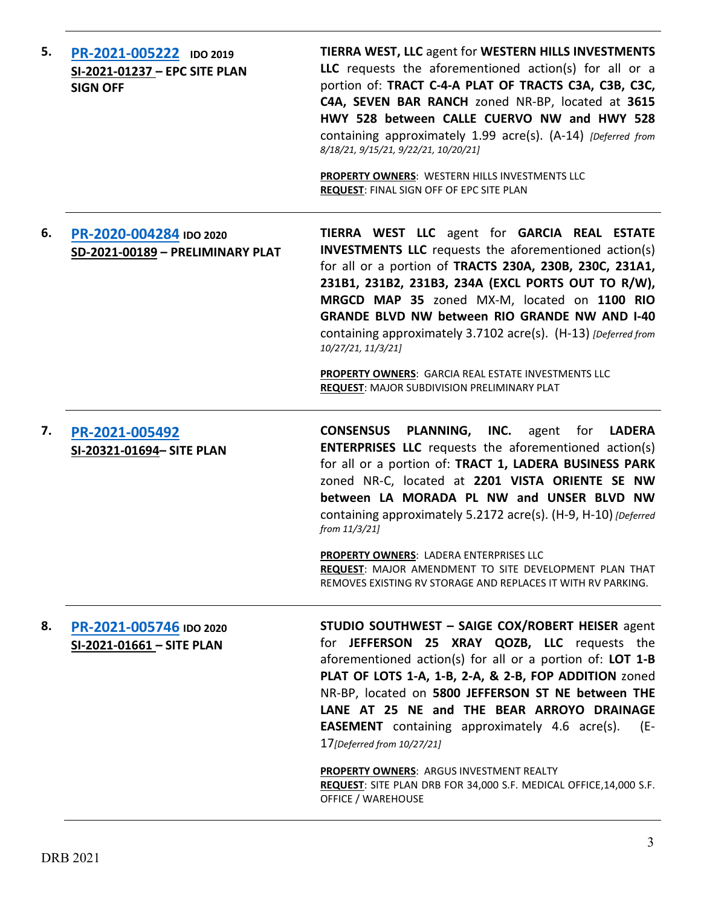| 5. | PR-2021-005222 IDO 2019<br>SI-2021-01237 - EPC SITE PLAN<br><b>SIGN OFF</b> | <b>TIERRA WEST, LLC agent for WESTERN HILLS INVESTMENTS</b><br>LLC requests the aforementioned action(s) for all or a<br>portion of: TRACT C-4-A PLAT OF TRACTS C3A, C3B, C3C,<br>C4A, SEVEN BAR RANCH zoned NR-BP, located at 3615<br>HWY 528 between CALLE CUERVO NW and HWY 528<br>containing approximately 1.99 acre(s). (A-14) [Deferred from<br>8/18/21, 9/15/21, 9/22/21, 10/20/21]<br>PROPERTY OWNERS: WESTERN HILLS INVESTMENTS LLC<br>REQUEST: FINAL SIGN OFF OF EPC SITE PLAN                                                                                   |
|----|-----------------------------------------------------------------------------|----------------------------------------------------------------------------------------------------------------------------------------------------------------------------------------------------------------------------------------------------------------------------------------------------------------------------------------------------------------------------------------------------------------------------------------------------------------------------------------------------------------------------------------------------------------------------|
| 6. | PR-2020-004284 IDO 2020<br>SD-2021-00189 - PRELIMINARY PLAT                 | TIERRA WEST LLC agent for GARCIA REAL ESTATE<br><b>INVESTMENTS LLC</b> requests the aforementioned action(s)<br>for all or a portion of TRACTS 230A, 230B, 230C, 231A1,<br>231B1, 231B2, 231B3, 234A (EXCL PORTS OUT TO R/W),<br>MRGCD MAP 35 zoned MX-M, located on 1100 RIO<br><b>GRANDE BLVD NW between RIO GRANDE NW AND I-40</b><br>containing approximately 3.7102 acre(s). (H-13) [Deferred from<br>10/27/21, 11/3/21]<br>PROPERTY OWNERS: GARCIA REAL ESTATE INVESTMENTS LLC<br><b>REQUEST: MAJOR SUBDIVISION PRELIMINARY PLAT</b>                                 |
| 7. | PR-2021-005492<br>SI-20321-01694- SITE PLAN                                 | <b>CONSENSUS PLANNING, INC.</b> agent for LADERA<br><b>ENTERPRISES LLC</b> requests the aforementioned action(s)<br>for all or a portion of: TRACT 1, LADERA BUSINESS PARK<br>zoned NR-C, located at 2201 VISTA ORIENTE SE NW<br>between LA MORADA PL NW and UNSER BLVD NW<br>containing approximately 5.2172 acre(s). (H-9, H-10) [Deferred<br>from 11/3/21]<br>PROPERTY OWNERS: LADERA ENTERPRISES LLC<br>REQUEST: MAJOR AMENDMENT TO SITE DEVELOPMENT PLAN THAT<br>REMOVES EXISTING RV STORAGE AND REPLACES IT WITH RV PARKING.                                         |
| 8. | PR-2021-005746 IDO 2020<br>SI-2021-01661 - SITE PLAN                        | STUDIO SOUTHWEST - SAIGE COX/ROBERT HEISER agent<br>for JEFFERSON 25 XRAY QOZB, LLC requests the<br>aforementioned action(s) for all or a portion of: LOT $1-B$<br>PLAT OF LOTS 1-A, 1-B, 2-A, & 2-B, FOP ADDITION zoned<br>NR-BP, located on 5800 JEFFERSON ST NE between THE<br>LANE AT 25 NE and THE BEAR ARROYO DRAINAGE<br><b>EASEMENT</b> containing approximately 4.6 acre(s).<br>(E-<br>17 [Deferred from 10/27/21]<br><b>PROPERTY OWNERS: ARGUS INVESTMENT REALTY</b><br>REQUEST: SITE PLAN DRB FOR 34,000 S.F. MEDICAL OFFICE, 14,000 S.F.<br>OFFICE / WAREHOUSE |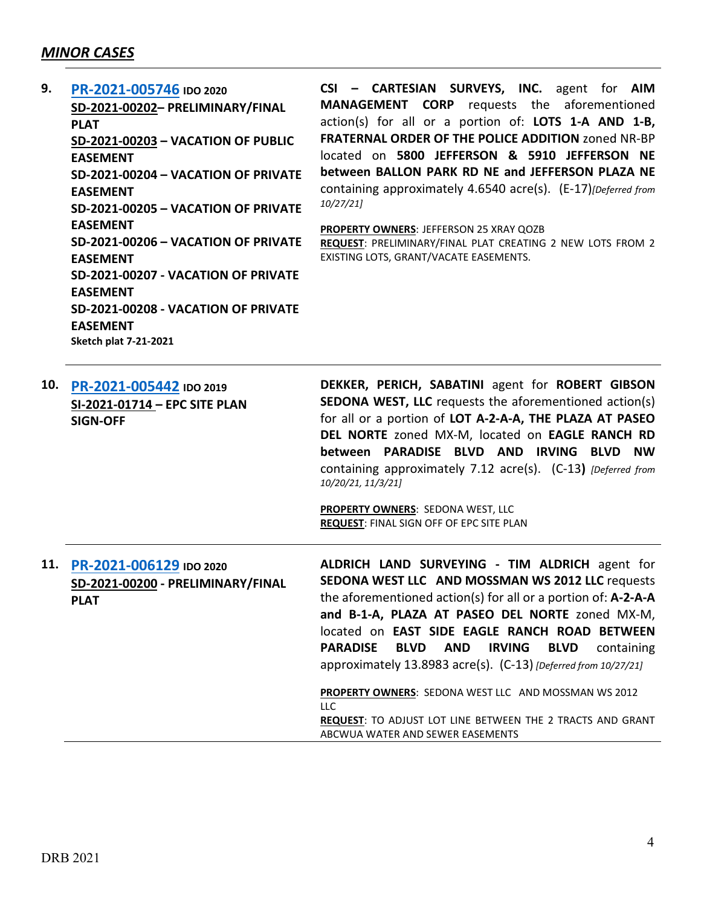## *MINOR CASES*

**EASEMENT**

**Sketch plat 7-21-2021**

| 9. | PR-2021-005746 IDO 2020             | CSI - CARTESIAN SURVEYS, INC. agent for AIM                    |
|----|-------------------------------------|----------------------------------------------------------------|
|    | SD-2021-00202- PRELIMINARY/FINAL    | requests the aforementioned<br><b>MANAGEMENT CORP</b>          |
|    | <b>PLAT</b>                         | action(s) for all or a portion of: LOTS 1-A AND 1-B,           |
|    | SD-2021-00203 - VACATION OF PUBLIC  | <b>FRATERNAL ORDER OF THE POLICE ADDITION zoned NR-BP</b>      |
|    | <b>EASEMENT</b>                     | located on 5800 JEFFERSON & 5910 JEFFERSON NE                  |
|    | SD-2021-00204 - VACATION OF PRIVATE | between BALLON PARK RD NE and JEFFERSON PLAZA NE               |
|    | <b>EASEMENT</b>                     | containing approximately 4.6540 acre(s). (E-17) [Deferred from |
|    | SD-2021-00205 - VACATION OF PRIVATE | 10/27/21]                                                      |
|    | <b>EASEMENT</b>                     | <b>PROPERTY OWNERS: JEFFERSON 25 XRAY QOZB</b>                 |
|    | SD-2021-00206 - VACATION OF PRIVATE | REQUEST: PRELIMINARY/FINAL PLAT CREATING 2 NEW LOTS FROM 2     |
|    | <b>EASEMENT</b>                     | EXISTING LOTS, GRANT/VACATE EASEMENTS.                         |
|    | SD-2021-00207 - VACATION OF PRIVATE |                                                                |
|    | <b>EASEMENT</b>                     |                                                                |
|    | SD-2021-00208 - VACATION OF PRIVATE |                                                                |

| 10. | PR-2021-005442 IDO 2019<br>SI-2021-01714 - EPC SITE PLAN<br><b>SIGN-OFF</b> | DEKKER, PERICH, SABATINI agent for ROBERT GIBSON<br><b>SEDONA WEST, LLC</b> requests the aforementioned action(s)<br>for all or a portion of LOT A-2-A-A, THE PLAZA AT PASEO<br>DEL NORTE zoned MX-M, located on EAGLE RANCH RD<br>between PARADISE BLVD AND IRVING BLVD NW<br>containing approximately 7.12 acre(s). (C-13) [Deferred from<br>10/20/21, 11/3/21]<br>PROPERTY OWNERS: SEDONA WEST, LLC<br>REQUEST: FINAL SIGN OFF OF EPC SITE PLAN                                                                                                                                                          |
|-----|-----------------------------------------------------------------------------|-------------------------------------------------------------------------------------------------------------------------------------------------------------------------------------------------------------------------------------------------------------------------------------------------------------------------------------------------------------------------------------------------------------------------------------------------------------------------------------------------------------------------------------------------------------------------------------------------------------|
| 11. | PR-2021-006129 IDO 2020<br>SD-2021-00200 - PRELIMINARY/FINAL<br><b>PLAT</b> | ALDRICH LAND SURVEYING - TIM ALDRICH agent for<br>SEDONA WEST LLC AND MOSSMAN WS 2012 LLC requests<br>the aforementioned action(s) for all or a portion of: $A$ -2-A-A<br>and B-1-A, PLAZA AT PASEO DEL NORTE zoned MX-M,<br>located on EAST SIDE EAGLE RANCH ROAD BETWEEN<br><b>PARADISE</b><br>BLVD<br>AND<br><b>IRVING</b><br><b>BLVD</b><br>containing<br>approximately 13.8983 acre(s). (C-13) [Deferred from 10/27/21]<br>PROPERTY OWNERS: SEDONA WEST LLC AND MOSSMAN WS 2012<br><b>LLC</b><br><b>REQUEST: TO ADJUST LOT LINE BETWEEN THE 2 TRACTS AND GRANT</b><br>ABCWUA WATER AND SEWER EASEMENTS |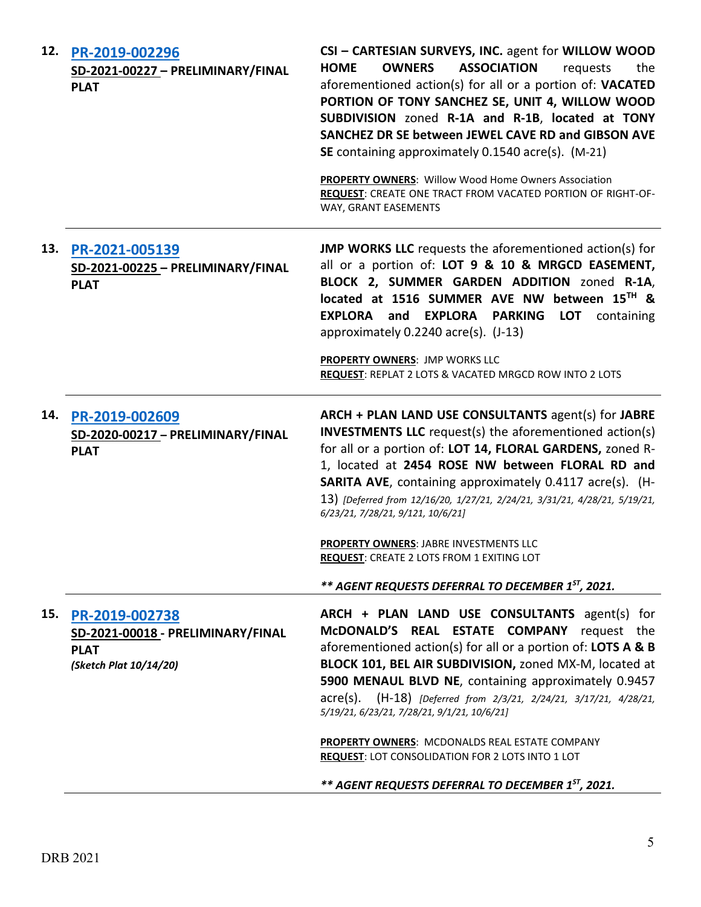| 12. | PR-2019-002296<br>SD-2021-00227 - PRELIMINARY/FINAL<br><b>PLAT</b>                           | CSI - CARTESIAN SURVEYS, INC. agent for WILLOW WOOD<br><b>ASSOCIATION</b><br><b>HOME</b><br><b>OWNERS</b><br>requests<br>the<br>aforementioned action(s) for all or a portion of: VACATED<br>PORTION OF TONY SANCHEZ SE, UNIT 4, WILLOW WOOD<br>SUBDIVISION zoned R-1A and R-1B, located at TONY<br>SANCHEZ DR SE between JEWEL CAVE RD and GIBSON AVE<br>SE containing approximately 0.1540 acre(s). (M-21)<br>PROPERTY OWNERS: Willow Wood Home Owners Association<br>REQUEST: CREATE ONE TRACT FROM VACATED PORTION OF RIGHT-OF-<br>WAY, GRANT EASEMENTS                                 |
|-----|----------------------------------------------------------------------------------------------|---------------------------------------------------------------------------------------------------------------------------------------------------------------------------------------------------------------------------------------------------------------------------------------------------------------------------------------------------------------------------------------------------------------------------------------------------------------------------------------------------------------------------------------------------------------------------------------------|
| 13. | PR-2021-005139<br>SD-2021-00225 - PRELIMINARY/FINAL<br><b>PLAT</b>                           | <b>JMP WORKS LLC</b> requests the aforementioned action(s) for<br>all or a portion of: LOT 9 & 10 & MRGCD EASEMENT,<br>BLOCK 2, SUMMER GARDEN ADDITION zoned R-1A,<br>located at 1516 SUMMER AVE NW between 15TH &<br>EXPLORA and EXPLORA PARKING<br><b>LOT</b><br>containing<br>approximately 0.2240 acre(s). (J-13)<br><b>PROPERTY OWNERS: JMP WORKS LLC</b><br>REQUEST: REPLAT 2 LOTS & VACATED MRGCD ROW INTO 2 LOTS                                                                                                                                                                    |
| 14. | PR-2019-002609<br>SD-2020-00217 - PRELIMINARY/FINAL<br><b>PLAT</b>                           | ARCH + PLAN LAND USE CONSULTANTS agent(s) for JABRE<br><b>INVESTMENTS LLC</b> request(s) the aforementioned action(s)<br>for all or a portion of: LOT 14, FLORAL GARDENS, zoned R-<br>1, located at 2454 ROSE NW between FLORAL RD and<br><b>SARITA AVE, containing approximately 0.4117 acre(s). (H-</b><br>13) [Deferred from 12/16/20, 1/27/21, 2/24/21, 3/31/21, 4/28/21, 5/19/21,<br>6/23/21, 7/28/21, 9/121, 10/6/21]<br>PROPERTY OWNERS: JABRE INVESTMENTS LLC<br><b>REQUEST: CREATE 2 LOTS FROM 1 EXITING LOT</b><br>** AGENT REQUESTS DEFERRAL TO DECEMBER 1 <sup>ST</sup> , 2021. |
| 15. | PR-2019-002738<br>SD-2021-00018 - PRELIMINARY/FINAL<br><b>PLAT</b><br>(Sketch Plat 10/14/20) | ARCH + PLAN LAND USE CONSULTANTS agent(s) for<br>McDONALD'S REAL ESTATE COMPANY request the<br>aforementioned action(s) for all or a portion of: LOTS A & B<br>BLOCK 101, BEL AIR SUBDIVISION, zoned MX-M, located at<br>5900 MENAUL BLVD NE, containing approximately 0.9457<br>acre(s). (H-18) [Deferred from 2/3/21, 2/24/21, 3/17/21, 4/28/21,<br>5/19/21, 6/23/21, 7/28/21, 9/1/21, 10/6/21]<br>PROPERTY OWNERS: MCDONALDS REAL ESTATE COMPANY<br>REQUEST: LOT CONSOLIDATION FOR 2 LOTS INTO 1 LOT<br>** AGENT REQUESTS DEFERRAL TO DECEMBER 1ST, 2021.                                |